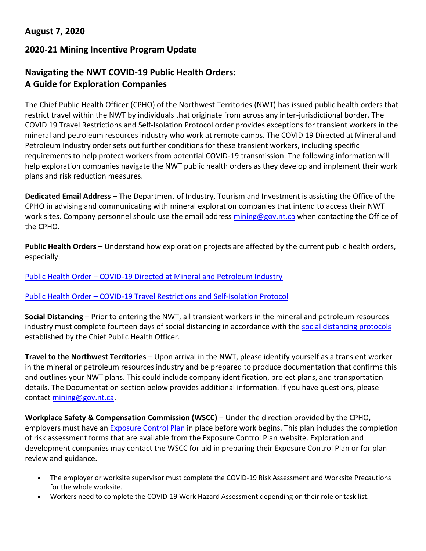## **August 7, 2020**

## **2020-21 Mining Incentive Program Update**

# **Navigating the NWT COVID-19 Public Health Orders: A Guide for Exploration Companies**

The Chief Public Health Officer (CPHO) of the Northwest Territories (NWT) has issued public health orders that restrict travel within the NWT by individuals that originate from across any inter-jurisdictional border. The COVID 19 Travel Restrictions and Self-Isolation Protocol order provides exceptions for transient workers in the mineral and petroleum resources industry who work at remote camps. The COVID 19 Directed at Mineral and Petroleum Industry order sets out further conditions for these transient workers, including specific requirements to help protect workers from potential COVID-19 transmission. The following information will help exploration companies navigate the NWT public health orders as they develop and implement their work plans and risk reduction measures.

**Dedicated Email Address** – The Department of Industry, Tourism and Investment is assisting the Office of the CPHO in advising and communicating with mineral exploration companies that intend to access their NWT work sites. Company personnel should use the email address [mining@gov.nt.ca](mailto:mining@gov.nt.ca) when contacting the Office of the CPHO.

**Public Health Orders** – Understand how exploration projects are affected by the current public health orders, especially:

### Public Health Order – [COVID-19 Directed at Mineral and Petroleum Industry](https://www.hss.gov.nt.ca/sites/hss/files/resources/public-health-order-covid-19-directed-mineral-petroleum-industry.pdf)

#### [Public Health Order](https://www.gov.nt.ca/covid-19/sites/covid/files/resources/public-health-order-covid-19-travel-restrictions-self-isolation-protocol-amended-june-12-2020.pdf) – COVID-19 Travel Restrictions and Self-Isolation Protocol

**Social Distancing** – Prior to entering the NWT, all transient workers in the mineral and petroleum resources industry must complete fourteen days of social distancing in accordance with the [social distancing protocols](https://www.gov.nt.ca/covid-19/sites/covid/files/resources/social-distancing-protocols-remote-work-camps.pdf) established by the Chief Public Health Officer.

**Travel to the Northwest Territories** – Upon arrival in the NWT, please identify yourself as a transient worker in the mineral or petroleum resources industry and be prepared to produce documentation that confirms this and outlines your NWT plans. This could include company identification, project plans, and transportation details. The Documentation section below provides additional information. If you have questions, please contact [mining@gov.nt.ca.](mailto:mining@gov.nt.ca)

**Workplace Safety & Compensation Commission (WSCC)** – Under the direction provided by the CPHO, employers must have an **[Exposure Control Plan](https://www.wscc.nt.ca/health-safety/covid-19/forms)** in place before work begins. This plan includes the completion of risk assessment forms that are available from the Exposure Control Plan website. Exploration and development companies may contact the WSCC for aid in preparing their Exposure Control Plan or for plan review and guidance.

- The employer or worksite supervisor must complete the COVID-19 Risk Assessment and Worksite Precautions for the whole worksite.
- Workers need to complete the COVID‐19 Work Hazard Assessment depending on their role or task list.